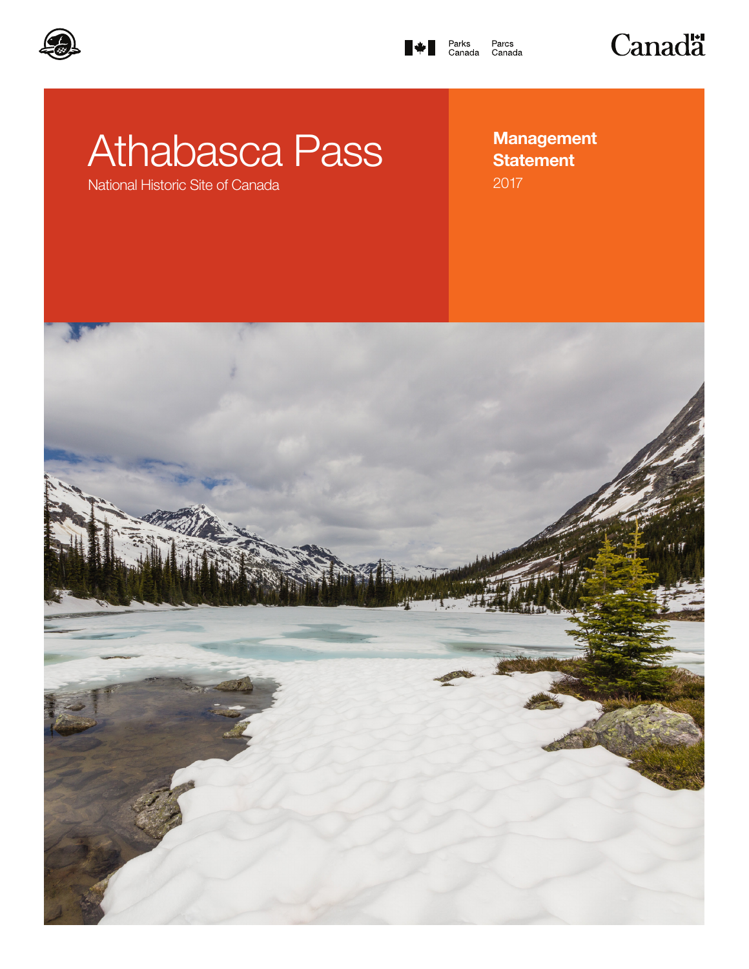

Parcs<br>Canada

## Canadä

# Athabasca Pass

National Historic Site of Canada

Management **Statement** 2017

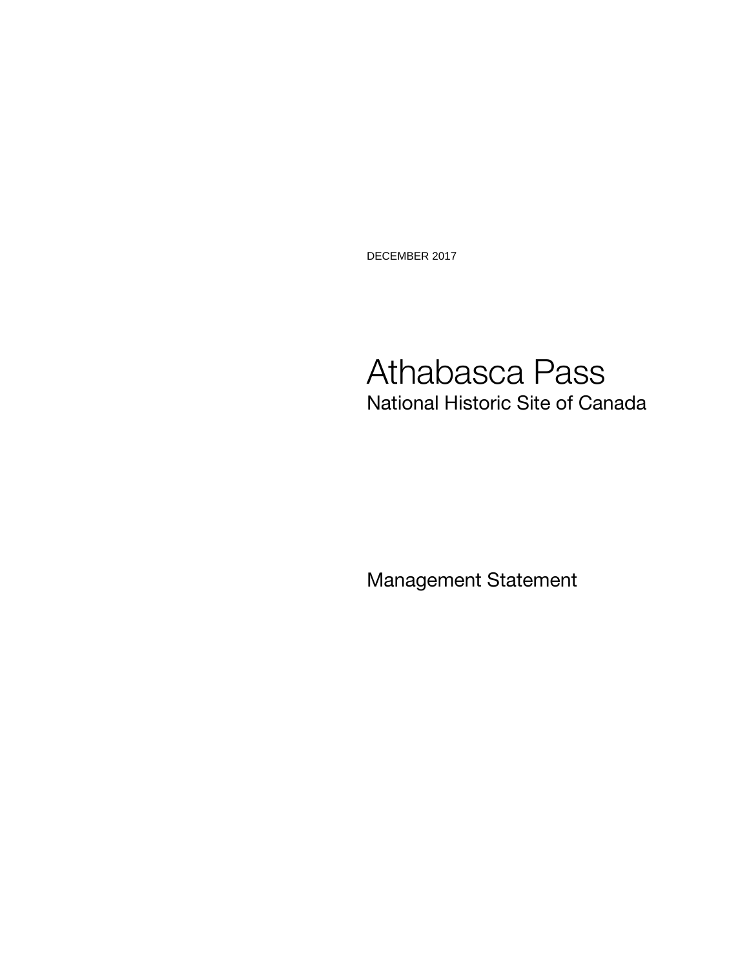DECEMBER 2017

## Athabasca Pass National Historic Site of Canada

Management Statement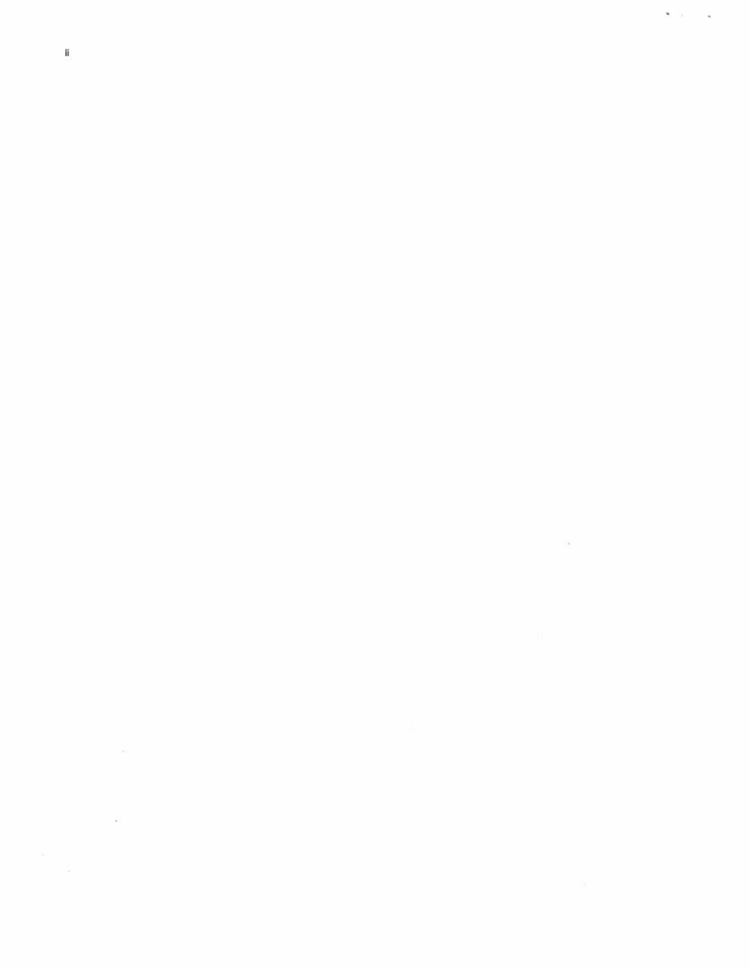$\mathbb R$  . In the set of  $\mathbb R$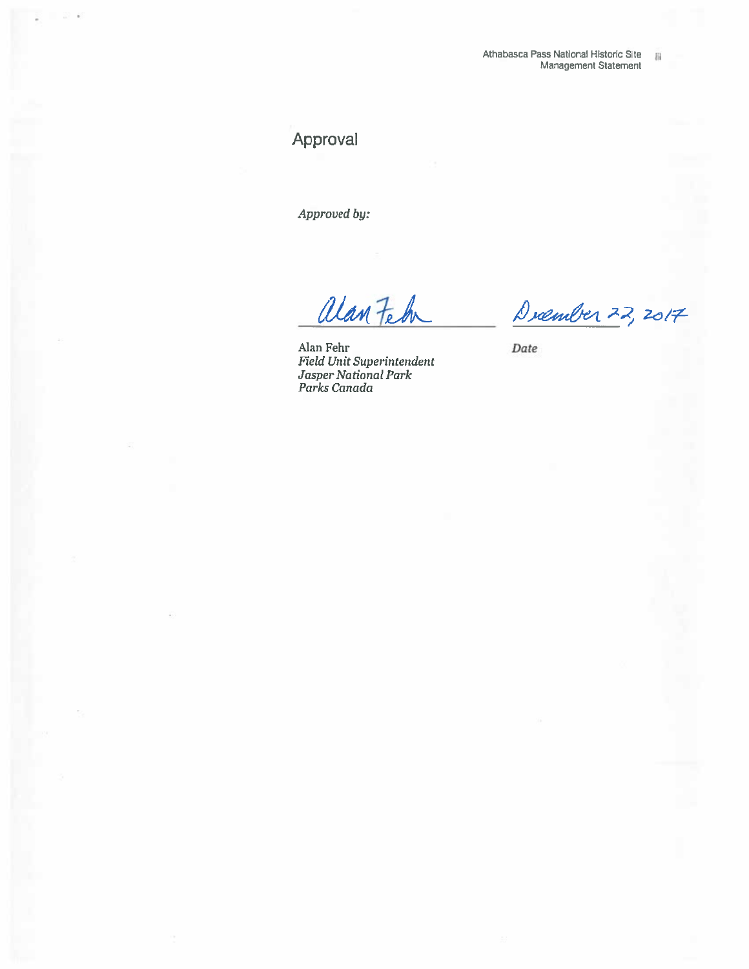### Approval

Approved by:

alanteh

Drember 22, 2017

Date

Alan Fehr Field Unit Superintendent<br>Jasper National Park<br>Parks Canada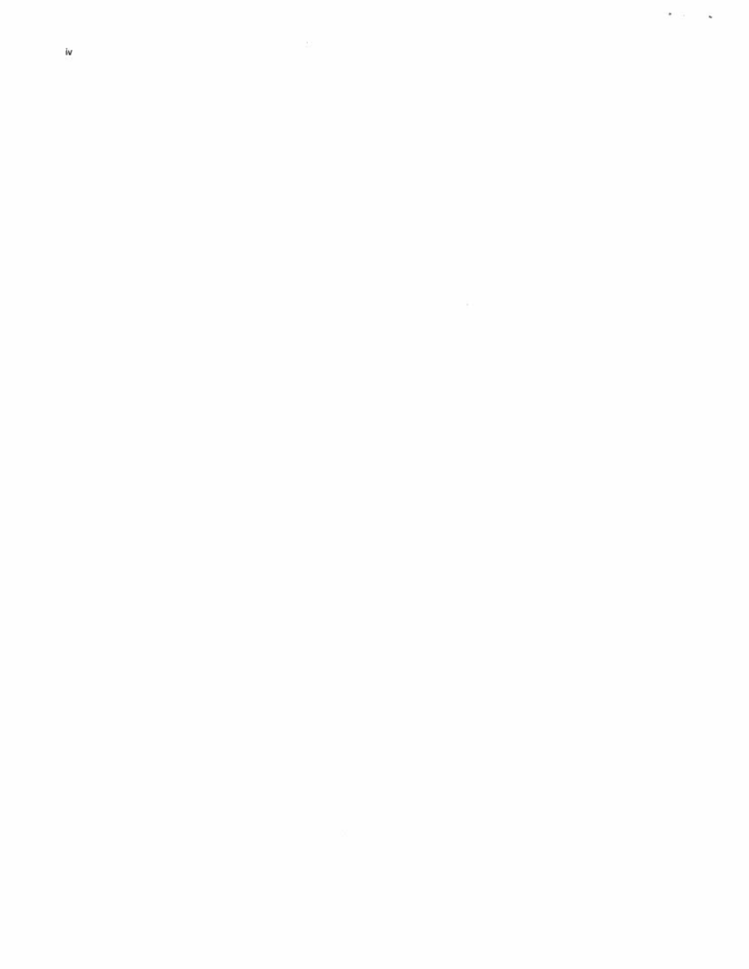$\sigma_{\rm{eff}}=100$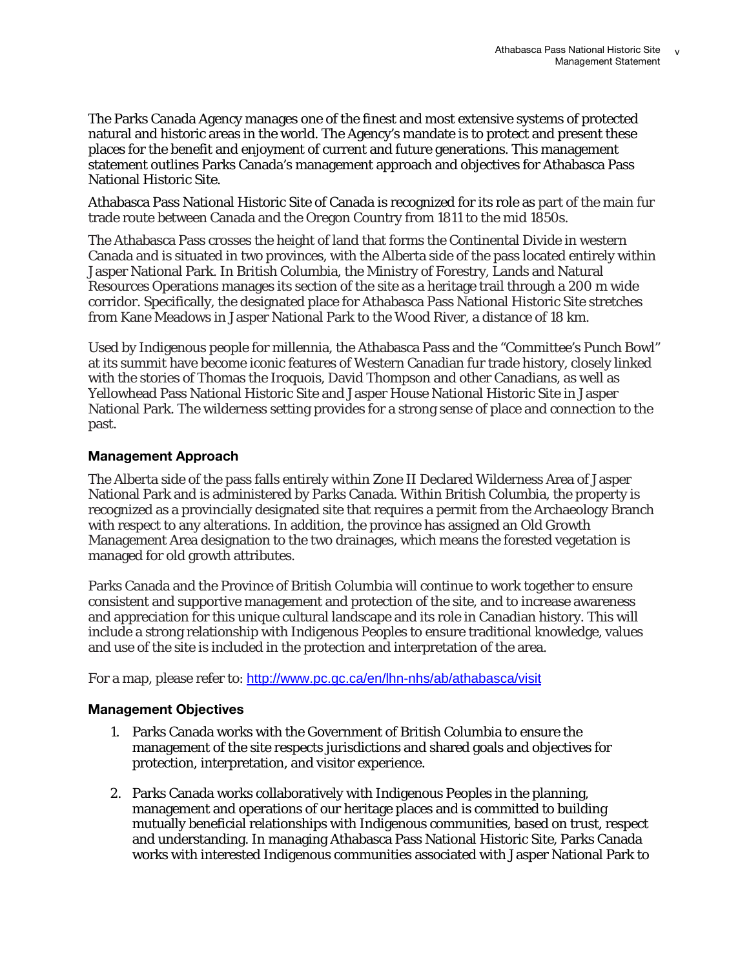The Parks Canada Agency manages one of the finest and most extensive systems of protected natural and historic areas in the world. The Agency's mandate is to protect and present these places for the benefit and enjoyment of current and future generations. This management statement outlines Parks Canada's management approach and objectives for Athabasca Pass National Historic Site.

Athabasca Pass National Historic Site of Canada is recognized for its role as part of the main fur trade route between Canada and the Oregon Country from 1811 to the mid 1850s.

The Athabasca Pass crosses the height of land that forms the Continental Divide in western Canada and is situated in two provinces, with the Alberta side of the pass located entirely within Jasper National Park. In British Columbia, the Ministry of Forestry, Lands and Natural Resources Operations manages its section of the site as a heritage trail through a 200 m wide corridor. Specifically, the designated place for Athabasca Pass National Historic Site stretches from Kane Meadows in Jasper National Park to the Wood River, a distance of 18 km.

Used by Indigenous people for millennia, the Athabasca Pass and the "Committee's Punch Bowl" at its summit have become iconic features of Western Canadian fur trade history, closely linked with the stories of Thomas the Iroquois, David Thompson and other Canadians, as well as Yellowhead Pass National Historic Site and Jasper House National Historic Site in Jasper National Park. The wilderness setting provides for a strong sense of place and connection to the past.

#### **Management Approach**

The Alberta side of the pass falls entirely within Zone II Declared Wilderness Area of Jasper National Park and is administered by Parks Canada. Within British Columbia, the property is recognized as a provincially designated site that requires a permit from the Archaeology Branch with respect to any alterations. In addition, the province has assigned an Old Growth Management Area designation to the two drainages, which means the forested vegetation is managed for old growth attributes.

Parks Canada and the Province of British Columbia will continue to work together to ensure consistent and supportive management and protection of the site, and to increase awareness and appreciation for this unique cultural landscape and its role in Canadian history. This will include a strong relationship with Indigenous Peoples to ensure traditional knowledge, values and use of the site is included in the protection and interpretation of the area.

For a map, please refer to: http://www.pc.gc.ca/en/lhn-nhs/ab/athabasca/visit

#### **Management Objectives**

- 1. Parks Canada works with the Government of British Columbia to ensure the management of the site respects jurisdictions and shared goals and objectives for protection, interpretation, and visitor experience.
- 2. Parks Canada works collaboratively with Indigenous Peoples in the planning, management and operations of our heritage places and is committed to building mutually beneficial relationships with Indigenous communities, based on trust, respect and understanding. In managing Athabasca Pass National Historic Site, Parks Canada works with interested Indigenous communities associated with Jasper National Park to